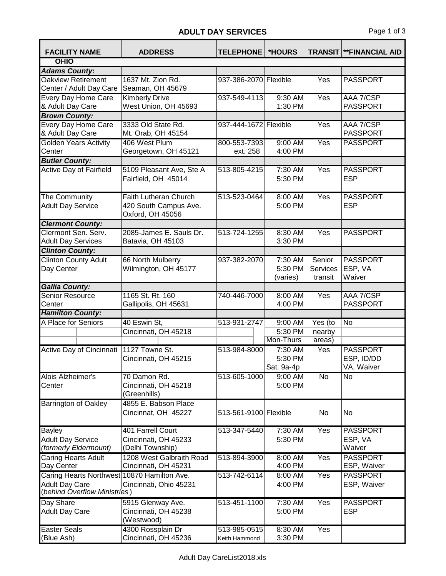## ADULT DAY SERVICES Page 1 of 3

| <b>FACILITY NAME</b>                                                                                 | <b>ADDRESS</b>                                                            | <b>TELEPHONE</b>      | *HOURS                |                     | <b>TRANSIT  **FINANCIAL AID</b> |
|------------------------------------------------------------------------------------------------------|---------------------------------------------------------------------------|-----------------------|-----------------------|---------------------|---------------------------------|
| OHIO                                                                                                 |                                                                           |                       |                       |                     |                                 |
| <b>Adams County:</b>                                                                                 |                                                                           |                       |                       |                     |                                 |
| <b>Oakview Retirement</b><br>Center / Adult Day Care                                                 | 1637 Mt. Zion Rd.<br>Seaman, OH 45679                                     | 937-386-2070 Flexible |                       | $\overline{Yes}$    | <b>PASSPORT</b>                 |
| <b>Every Day Home Care</b>                                                                           | <b>Kimberly Drive</b>                                                     | 937-549-4113          | 9:30 AM               | Yes                 | AAA 7/CSP                       |
| & Adult Day Care                                                                                     | West Union, OH 45693                                                      |                       | 1:30 PM               |                     | <b>PASSPORT</b>                 |
| <b>Brown County:</b>                                                                                 |                                                                           |                       |                       |                     |                                 |
| <b>Every Day Home Care</b>                                                                           | 3333 Old State Rd.                                                        | 937-444-1672 Flexible |                       | Yes                 | AAA 7/CSP                       |
| & Adult Day Care                                                                                     | Mt. Orab, OH 45154                                                        |                       |                       |                     | <b>PASSPORT</b>                 |
| Golden Years Activity                                                                                | 406 West Plum                                                             | 800-553-7393          | 9:00 AM               | Yes                 | <b>PASSPORT</b>                 |
| Center                                                                                               | Georgetown, OH 45121                                                      | ext. 258              | 4:00 PM               |                     |                                 |
| <b>Butler County:</b>                                                                                |                                                                           |                       |                       |                     |                                 |
| Active Day of Fairfield                                                                              | 5109 Pleasant Ave, Ste A<br>Fairfield, OH 45014                           | 513-805-4215          | 7:30 AM<br>5:30 PM    | Yes                 | <b>PASSPORT</b><br><b>ESP</b>   |
| The Community<br><b>Adult Day Service</b>                                                            | <b>Faith Lutheran Church</b><br>420 South Campus Ave.<br>Oxford, OH 45056 | 513-523-0464          | 8:00 AM<br>5:00 PM    | Yes                 | <b>PASSPORT</b><br><b>ESP</b>   |
| <b>Clermont County:</b>                                                                              |                                                                           |                       |                       |                     |                                 |
| Clermont Sen. Serv.<br><b>Adult Day Services</b>                                                     | 2085-James E. Sauls Dr.<br>Batavia, OH 45103                              | 513-724-1255          | 8:30 AM<br>3:30 PM    | Yes                 | <b>PASSPORT</b>                 |
| <b>Clinton County:</b>                                                                               |                                                                           |                       |                       |                     |                                 |
| <b>Clinton County Adult</b>                                                                          | 66 North Mulberry                                                         | 937-382-2070          | 7:30 AM               | Senior              | <b>PASSPORT</b>                 |
| Day Center                                                                                           | Wilmington, OH 45177                                                      |                       | 5:30 PM<br>(varies)   | Services<br>transit | ESP, VA<br>Waiver               |
| <b>Gallia County:</b>                                                                                |                                                                           |                       |                       |                     |                                 |
| Senior Resource                                                                                      | 1165 St. Rt. 160                                                          | 740-446-7000          | 8:00 AM               | $\overline{Yes}$    | AAA 7/CSP                       |
| Center                                                                                               | Gallipolis, OH 45631                                                      |                       | 4:00 PM               |                     | <b>PASSPORT</b>                 |
| <b>Hamilton County:</b>                                                                              |                                                                           |                       |                       |                     |                                 |
| A Place for Seniors                                                                                  | 40 Eswin St,                                                              | 513-931-2747          | 9:00 AM               | Yes (to             | No                              |
|                                                                                                      | Cincinnati, OH 45218                                                      |                       | 5:30 PM               | nearby              |                                 |
|                                                                                                      |                                                                           |                       | Mon-Thurs             | areas)              |                                 |
| Active Day of Cincinnati                                                                             | 1127 Towne St.                                                            | 513-984-8000          | 7:30 AM               | Yes                 | <b>PASSPORT</b><br>ESP, ID/DD   |
|                                                                                                      | Cincinnati, OH 45215                                                      |                       | 5:30 PM<br>Sat. 9a-4p |                     | VA, Waiver                      |
| Alois Alzheimer's                                                                                    | 70 Damon Rd.                                                              | 513-605-1000          | 9:00 AM               | $\overline{N}$      | No                              |
| Center                                                                                               | Cincinnati, OH 45218<br>(Greenhills)                                      |                       | 5:00 PM               |                     |                                 |
| <b>Barrington of Oakley</b>                                                                          | 4855 E. Babson Place<br>Cincinnat, OH 45227                               | 513-561-9100 Flexible |                       | No                  | No                              |
| <b>Bayley</b>                                                                                        | 401 Farrell Court                                                         | 513-347-5440          | 7:30 AM               | Yes                 | <b>PASSPORT</b>                 |
| <b>Adult Day Service</b>                                                                             | Cincinnati, OH 45233                                                      |                       | 5:30 PM               |                     | ESP, VA                         |
| (formerly Eldermount)                                                                                | (Delhi Township)                                                          |                       |                       |                     | Waiver                          |
| <b>Caring Hearts Adult</b>                                                                           | 1208 West Galbraith Road                                                  | 513-894-3900          | 8:00 AM               | Yes                 | <b>PASSPORT</b>                 |
| Day Center                                                                                           | Cincinnati, OH 45231                                                      |                       | 4:00 PM               |                     | ESP, Waiver                     |
| Caring Hearts Northwest 10870 Hamilton Ave.<br><b>Adult Day Care</b><br>(behind Overflow Ministries) | Cincinnati, Ohio 45231                                                    | 513-742-6114          | 8:00 AM<br>4:00 PM    | Yes                 | <b>PASSPORT</b><br>ESP, Waiver  |
| Day Share                                                                                            | 5915 Glenway Ave.                                                         | 513-451-1100          | 7:30 AM               | $\overline{Yes}$    | <b>PASSPORT</b>                 |
| <b>Adult Day Care</b>                                                                                | Cincinnati, OH 45238<br>(Westwood)                                        |                       | 5:00 PM               |                     | <b>ESP</b>                      |
| <b>Easter Seals</b>                                                                                  | 4300 Rossplain Dr                                                         | 513-985-0515          | 8:30 AM               | Yes                 |                                 |
| (Blue Ash)                                                                                           | Cincinnati, OH 45236                                                      | Keith Hammond         | 3:30 PM               |                     |                                 |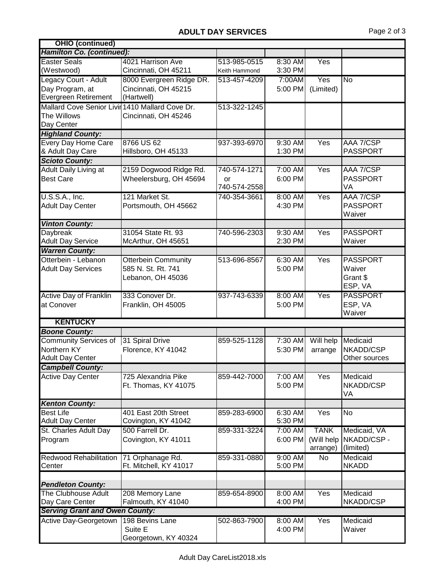| <b>OHIO (continued)</b>                         |                            |                    |         |                |                           |
|-------------------------------------------------|----------------------------|--------------------|---------|----------------|---------------------------|
| <b>Hamilton Co. (continued):</b>                |                            |                    |         |                |                           |
| <b>Easter Seals</b>                             | 4021 Harrison Ave          | 513-985-0515       | 8:30 AM | Yes            |                           |
| (Westwood)                                      | Cincinnati, OH 45211       | Keith Hammond      | 3:30 PM |                |                           |
| Legacy Court - Adult                            | 8000 Evergreen Ridge DR.   | 513-457-4209       | 7:00AM  | Yes            | No                        |
| Day Program, at                                 | Cincinnati, OH 45215       |                    | 5:00 PM | (Limited)      |                           |
| Evergreen Retirement                            | (Hartwell)                 |                    |         |                |                           |
| Mallard Cove Senior Livir 1410 Mallard Cove Dr. |                            | 513-322-1245       |         |                |                           |
| The Willows                                     | Cincinnati, OH 45246       |                    |         |                |                           |
| Day Center                                      |                            |                    |         |                |                           |
| <b>Highland County:</b>                         |                            |                    |         |                |                           |
| Every Day Home Care                             | 8766 US 62                 | 937-393-6970       | 9:30 AM | Yes            | AAA 7/CSP                 |
| & Adult Day Care                                | Hillsboro, OH 45133        |                    | 1:30 PM |                | <b>PASSPORT</b>           |
| <b>Scioto County:</b>                           |                            |                    |         |                |                           |
| Adult Daily Living at                           | 2159 Dogwood Ridge Rd.     | 740-574-1271       | 7:00 AM | Yes            | AAA 7/CSP                 |
| <b>Best Care</b>                                | Wheelersburg, OH 45694     |                    | 6:00 PM |                | <b>PASSPORT</b>           |
|                                                 |                            | or<br>740-574-2558 |         |                | VA                        |
|                                                 | 121 Market St.             |                    |         |                | AAA 7/CSP                 |
| U.S.S.A., Inc.                                  |                            | 740-354-3661       | 8:00 AM | Yes            |                           |
| <b>Adult Day Center</b>                         | Portsmouth, OH 45662       |                    | 4:30 PM |                | <b>PASSPORT</b><br>Waiver |
|                                                 |                            |                    |         |                |                           |
| <b>Vinton County:</b>                           |                            |                    |         |                |                           |
| Daybreak                                        | 31054 State Rt. 93         | 740-596-2303       | 9:30 AM | Yes            | <b>PASSPORT</b>           |
| <b>Adult Day Service</b>                        | McArthur, OH 45651         |                    | 2:30 PM |                | Waiver                    |
| <b>Warren County:</b>                           |                            |                    |         |                |                           |
| Otterbein - Lebanon                             | <b>Otterbein Community</b> | 513-696-8567       | 6:30 AM | Yes            | <b>PASSPORT</b>           |
| <b>Adult Day Services</b>                       | 585 N. St. Rt. 741         |                    | 5:00 PM |                | Waiver                    |
|                                                 | Lebanon, OH 45036          |                    |         |                | Grant \$                  |
|                                                 |                            |                    |         |                | ESP, VA                   |
| <b>Active Day of Franklin</b>                   | 333 Conover Dr.            | 937-743-6339       | 8:00 AM | Yes            | <b>PASSPORT</b>           |
| at Conover                                      | Franklin, OH 45005         |                    | 5:00 PM |                | ESP, VA                   |
|                                                 |                            |                    |         |                | Waiver                    |
| <b>KENTUCKY</b>                                 |                            |                    |         |                |                           |
| <b>Boone County:</b>                            |                            |                    |         |                |                           |
| <b>Community Services of</b>                    | 31 Spiral Drive            | 859-525-1128       | 7:30 AM | Will help      | Medicaid                  |
| Northern KY                                     | Florence, KY 41042         |                    | 5:30 PM | arrange        | NKADD/CSP                 |
| <b>Adult Day Center</b>                         |                            |                    |         |                | Other sources             |
| <b>Campbell County:</b>                         |                            |                    |         |                |                           |
| <b>Active Day Center</b>                        | 725 Alexandria Pike        | 859-442-7000       | 7:00 AM | Yes            | Medicaid                  |
|                                                 | Ft. Thomas, KY 41075       |                    | 5:00 PM |                | NKADD/CSP                 |
|                                                 |                            |                    |         |                | VA                        |
| <b>Kenton County:</b>                           |                            |                    |         |                |                           |
| <b>Best Life</b>                                | 401 East 20th Street       | 859-283-6900       | 6:30 AM | Yes            | No                        |
| <b>Adult Day Center</b>                         | Covington, KY 41042        |                    | 5:30 PM |                |                           |
| St. Charles Adult Day                           | 500 Farrell Dr.            | 859-331-3224       | 7:00 AM | <b>TANK</b>    | Medicaid, VA              |
| Program                                         | Covington, KY 41011        |                    | 6:00 PM | (Will help     | NKADD/CSP-                |
|                                                 |                            |                    |         | arrange)       | (limited)                 |
| <b>Redwood Rehabilitation</b>                   | 71 Orphanage Rd.           | 859-331-0880       | 9:00 AM | $\overline{N}$ | Medicaid                  |
| Center                                          | Ft. Mitchell, KY 41017     |                    | 5:00 PM |                | <b>NKADD</b>              |
|                                                 |                            |                    |         |                |                           |
| <b>Pendleton County:</b>                        |                            |                    |         |                |                           |
| The Clubhouse Adult                             | 208 Memory Lane            | 859-654-8900       | 8:00 AM | Yes            | Medicaid                  |
| Day Care Center                                 | Falmouth, KY 41040         |                    | 4:00 PM |                | NKADD/CSP                 |
| <b>Serving Grant and Owen County:</b>           |                            |                    |         |                |                           |
| Active Day-Georgetown                           | 198 Bevins Lane            | 502-863-7900       | 8:00 AM | Yes            | Medicaid                  |
|                                                 | Suite E                    |                    | 4:00 PM |                | Waiver                    |
|                                                 | Georgetown, KY 40324       |                    |         |                |                           |